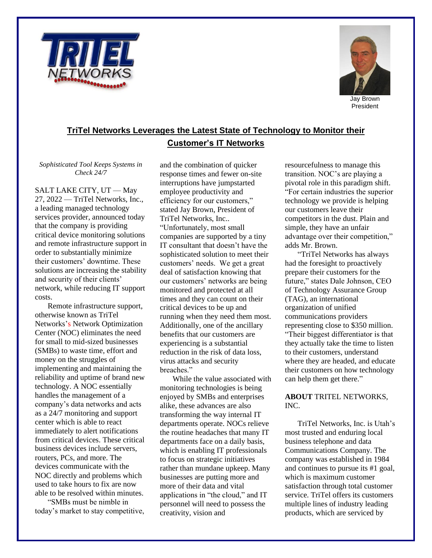



President

## **TriTel Networks Leverages the Latest State of Technology to Monitor their Customer's IT Networks**

*Sophisticated Tool Keeps Systems in Check 24/7*

SALT LAKE CITY, UT — May 27, 2022 — TriTel Networks, Inc., a leading managed technology services provider, announced today that the company is providing critical device monitoring solutions and remote infrastructure support in order to substantially minimize their customers' downtime. These solutions are increasing the stability and security of their clients' network, while reducing IT support costs.

Remote infrastructure support, otherwise known as TriTel Networks's Network Optimization Center (NOC) eliminates the need for small to mid-sized businesses (SMBs) to waste time, effort and money on the struggles of implementing and maintaining the reliability and uptime of brand new technology. A NOC essentially handles the management of a company's data networks and acts as a 24/7 monitoring and support center which is able to react immediately to alert notifications from critical devices. These critical business devices include servers, routers, PCs, and more. The devices communicate with the NOC directly and problems which used to take hours to fix are now able to be resolved within minutes.

"SMBs must be nimble in today's market to stay competitive, and the combination of quicker response times and fewer on-site interruptions have jumpstarted employee productivity and efficiency for our customers," stated Jay Brown, President of TriTel Networks, Inc.. "Unfortunately, most small companies are supported by a tiny IT consultant that doesn't have the sophisticated solution to meet their customers' needs. We get a great deal of satisfaction knowing that our customers' networks are being monitored and protected at all times and they can count on their critical devices to be up and running when they need them most. Additionally, one of the ancillary benefits that our customers are experiencing is a substantial reduction in the risk of data loss, virus attacks and security breaches."

While the value associated with monitoring technologies is being enjoyed by SMBs and enterprises alike, these advances are also transforming the way internal IT departments operate. NOCs relieve the routine headaches that many IT departments face on a daily basis, which is enabling IT professionals to focus on strategic initiatives rather than mundane upkeep. Many businesses are putting more and more of their data and vital applications in "the cloud," and IT personnel will need to possess the creativity, vision and

resourcefulness to manage this transition. NOC's are playing a pivotal role in this paradigm shift. "For certain industries the superior technology we provide is helping our customers leave their competitors in the dust. Plain and simple, they have an unfair advantage over their competition," adds Mr. Brown.

"TriTel Networks has always had the foresight to proactively prepare their customers for the future," states Dale Johnson, CEO of Technology Assurance Group (TAG), an international organization of unified communications providers representing close to \$350 million. "Their biggest differentiator is that they actually take the time to listen to their customers, understand where they are headed, and educate their customers on how technology can help them get there."

## **ABOUT** TRITEL NETWORKS, INC.

TriTel Networks, Inc. is Utah's most trusted and enduring local business telephone and data Communications Company. The company was established in 1984 and continues to pursue its #1 goal, which is maximum customer satisfaction through total customer service. TriTel offers its customers multiple lines of industry leading products, which are serviced by